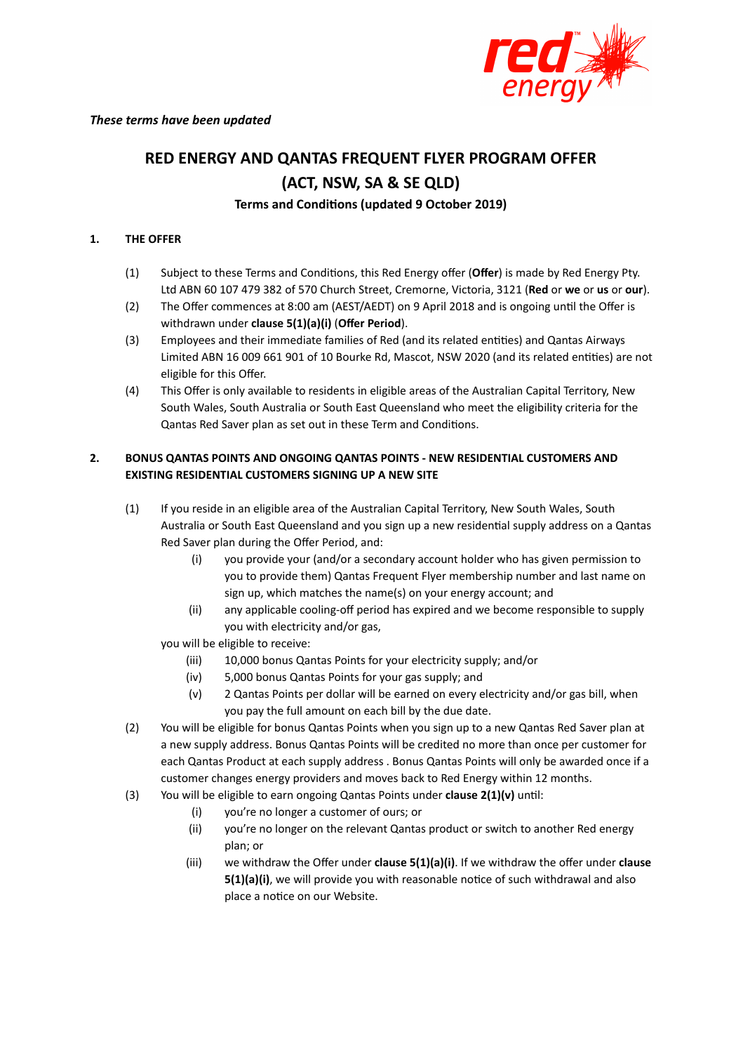

# **RED ENERGY AND QANTAS FREQUENT FLYER PROGRAM OFFER (ACT, NSW, SA & SE QLD)**

# **Terms** and **Conditions** (updated 9 October 2019)

## **1. THE OFFER**

- (1) Subject to these Terms and Condions, this Red Energy offer (**Offer**) is made by Red Energy Pty. Ltd ABN 60 107 479 382 of 570 Church Street, Cremorne, Victoria, 3121 (**Red** or **we** or **us** or **our**).
- (2) The Offer commences at 8:00 am (AEST/AEDT) on 9 April 2018 and is ongoing until the Offer is withdrawn under **clause 5(1)(a)(i)** (**Offer Period**).
- (3) Employees and their immediate families of Red (and its related entities) and Qantas Airways Limited ABN 16 009 661 901 of 10 Bourke Rd, Mascot, NSW 2020 (and its related entities) are not eligible for this Offer.
- (4) This Offer is only available to residents in eligible areas of the Australian Capital Territory, New South Wales, South Australia or South East Queensland who meet the eligibility criteria for the Qantas Red Saver plan as set out in these Term and Conditions.

# **2. BONUS QANTAS POINTS AND ONGOING QANTAS POINTS - NEW RESIDENTIAL CUSTOMERS AND EXISTING RESIDENTIAL CUSTOMERS SIGNING UP A NEW SITE**

- (1) If you reside in an eligible area of the Australian Capital Territory, New South Wales, South Australia or South East Queensland and you sign up a new residential supply address on a Qantas Red Saver plan during the Offer Period, and:
	- (i) you provide your (and/or a secondary account holder who has given permission to you to provide them) Qantas Frequent Flyer membership number and last name on sign up, which matches the name(s) on your energy account; and
	- (ii) any applicable cooling-off period has expired and we become responsible to supply you with electricity and/or gas,

you will be eligible to receive:

- (iii) 10,000 bonus Qantas Points for your electricity supply; and/or
- (iv) 5,000 bonus Qantas Points for your gas supply; and
- (v) 2 Qantas Points per dollar will be earned on every electricity and/or gas bill, when you pay the full amount on each bill by the due date.
- (2) You will be eligible for bonus Qantas Points when you sign up to a new Qantas Red Saver plan at a new supply address. Bonus Qantas Points will be credited no more than once per customer for each Qantas Product at each supply address . Bonus Qantas Points will only be awarded once if a customer changes energy providers and moves back to Red Energy within 12 months.
- (3) You will be eligible to earn ongoing Qantas Points under **clause 2(1)(v)** until:
	- (i) you're no longer a customer of ours; or
	- (ii) you're no longer on the relevant Qantas product or switch to another Red energy plan; or
	- (iii) we withdraw the Offer under **clause 5(1)(a)(i)**. If we withdraw the offer under **clause 5(1)(a)(i)**, we will provide you with reasonable notice of such withdrawal and also place a notice on our Website.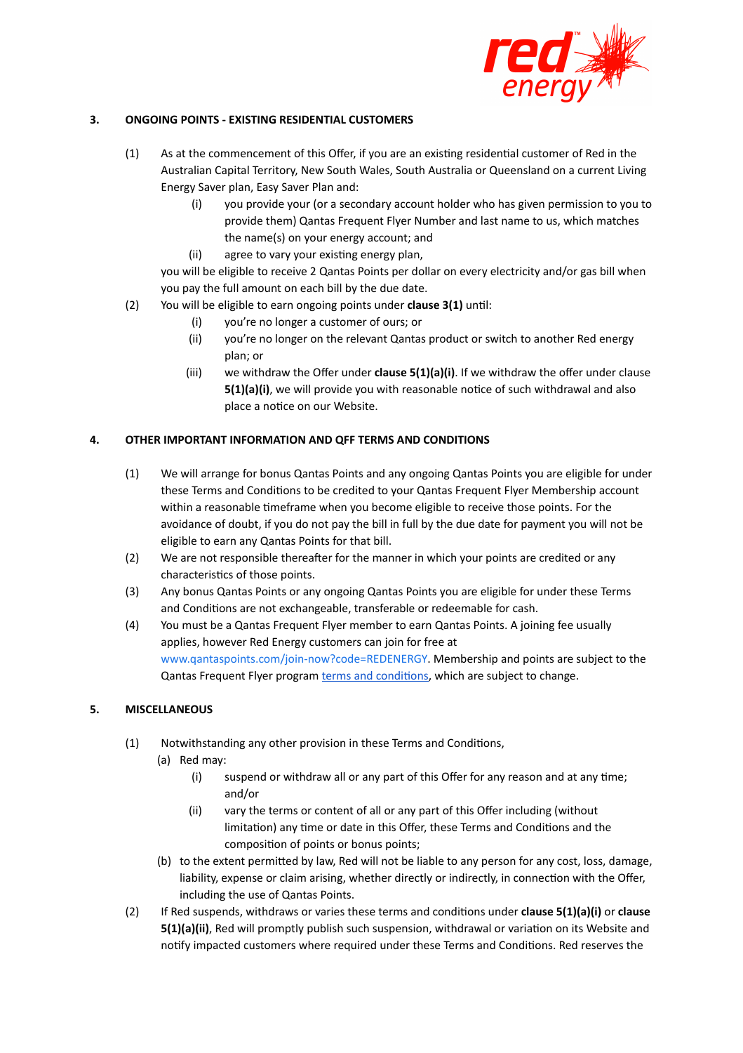

#### **3. ONGOING POINTS - EXISTING RESIDENTIAL CUSTOMERS**

- (1) As at the commencement of this Offer, if you are an existing residential customer of Red in the Australian Capital Territory, New South Wales, South Australia or Queensland on a current Living Energy Saver plan, Easy Saver Plan and:
	- (i) you provide your (or a secondary account holder who has given permission to you to provide them) Qantas Frequent Flyer Number and last name to us, which matches the name(s) on your energy account; and
	- (ii) agree to vary your existing energy plan,

you will be eligible to receive 2 Qantas Points per dollar on every electricity and/or gas bill when you pay the full amount on each bill by the due date.

- (2) You will be eligible to earn ongoing points under **clause 3(1)** until:
	- (i) you're no longer a customer of ours; or
	- (ii) you're no longer on the relevant Qantas product or switch to another Red energy plan; or
	- (iii) we withdraw the Offer under **clause 5(1)(a)(i)**. If we withdraw the offer under clause **5(1)(a)(i)**, we will provide you with reasonable notice of such withdrawal and also place a notice on our Website.

## **4. OTHER IMPORTANT INFORMATION AND QFF TERMS AND CONDITIONS**

- (1) We will arrange for bonus Qantas Points and any ongoing Qantas Points you are eligible for under these Terms and Conditions to be credited to your Qantas Frequent Flyer Membership account within a reasonable timeframe when you become eligible to receive those points. For the avoidance of doubt, if you do not pay the bill in full by the due date for payment you will not be eligible to earn any Qantas Points for that bill.
- (2) We are not responsible thereafter for the manner in which your points are credited or any characteristics of those points.
- (3) Any bonus Qantas Points or any ongoing Qantas Points you are eligible for under these Terms and Conditions are not exchangeable, transferable or redeemable for cash.
- (4) You must be a Qantas Frequent Flyer member to earn Qantas Points. A joining fee usually applies, however Red Energy customers can join for free at [www.qantaspoints.com/join-now?code=REDENERGY](https://www.qantaspoints.com/join-now?code=REDENERGY). Membership and points are subject to the Qantas Frequent Flyer program terms and conditions, which are subject to change.

#### **5. MISCELLANEOUS**

- (1) Notwithstanding any other provision in these Terms and Conditions,
	- (a) Red may:
		- $(i)$  suspend or withdraw all or any part of this Offer for any reason and at any time; and/or
		- (ii) vary the terms or content of all or any part of this Offer including (without limitation) any time or date in this Offer, these Terms and Conditions and the composition of points or bonus points;
	- (b) to the extent permitted by law, Red will not be liable to any person for any cost, loss, damage, liability, expense or claim arising, whether directly or indirectly, in connection with the Offer, including the use of Qantas Points.
- (2) If Red suspends, withdraws or varies these terms and conditions under **clause 5(1)(a)(i)** or **clause 5(1)(a)(ii)**, Red will promptly publish such suspension, withdrawal or variation on its Website and notify impacted customers where required under these Terms and Conditions. Red reserves the